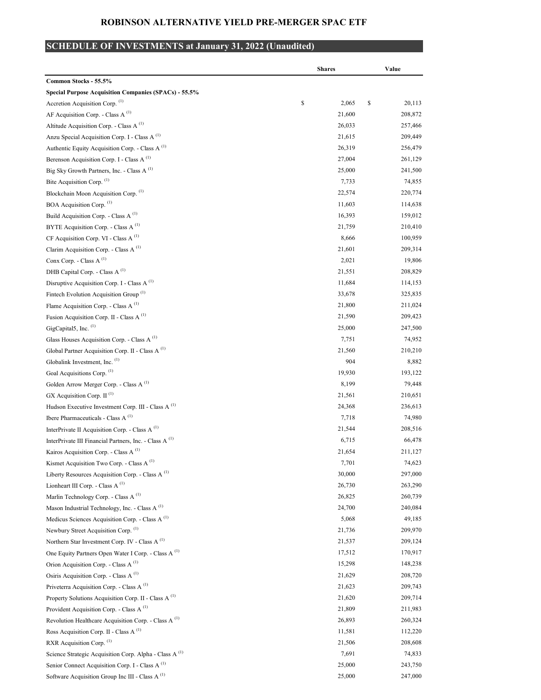## ROBINSON ALTERNATIVE YIELD PRE-MERGER SPAC ETF

## SCHEDULE OF INVESTMENTS at January 31, 2022 (Unaudited)

|                                                                    | <b>Shares</b> | Value        |
|--------------------------------------------------------------------|---------------|--------------|
| Common Stocks - 55.5%                                              |               |              |
| <b>Special Purpose Acquisition Companies (SPACs) - 55.5%</b>       |               |              |
| Accretion Acquisition Corp. (1)                                    | \$<br>2,065   | \$<br>20,113 |
| AF Acquisition Corp. - Class A $(1)$                               | 21,600        | 208,872      |
| Altitude Acquisition Corp. - Class A <sup>(1)</sup>                | 26,033        | 257,466      |
| Anzu Special Acquisition Corp. I - Class A <sup>(1)</sup>          | 21,615        | 209,449      |
| Authentic Equity Acquisition Corp. - Class A <sup>(1)</sup>        | 26,319        | 256,479      |
| Berenson Acquisition Corp. I - Class A <sup>(1)</sup>              | 27,004        | 261,129      |
| Big Sky Growth Partners, Inc. - Class A <sup>(1)</sup>             | 25,000        | 241,500      |
| Bite Acquisition Corp. (1)                                         | 7,733         | 74,855       |
| Blockchain Moon Acquisition Corp. (1)                              | 22,574        | 220,774      |
| BOA Acquisition Corp. (1)                                          | 11,603        | 114,638      |
| Build Acquisition Corp. - Class A $^{(1)}$                         | 16,393        | 159,012      |
| BYTE Acquisition Corp. - Class A <sup>(1)</sup>                    | 21,759        | 210,410      |
| CF Acquisition Corp. VI - Class A <sup>(1)</sup>                   | 8,666         | 100,959      |
| Clarim Acquisition Corp. - Class A <sup>(1)</sup>                  | 21,601        | 209,314      |
| Conx Corp. - Class A <sup>(1)</sup>                                | 2,021         | 19,806       |
| DHB Capital Corp. - Class A <sup>(1)</sup>                         | 21,551        | 208,829      |
| Disruptive Acquisition Corp. I - Class A $^{(1)}$                  | 11,684        | 114,153      |
| Fintech Evolution Acquisition Group <sup>(1)</sup>                 | 33,678        | 325,835      |
| Flame Acquisition Corp. - Class A $^{(1)}$                         | 21,800        | 211,024      |
| Fusion Acquisition Corp. II - Class A <sup>(1)</sup>               | 21,590        | 209,423      |
| GigCapital5, Inc. (1)                                              | 25,000        | 247,500      |
| Glass Houses Acquisition Corp. - Class A <sup>(1)</sup>            | 7,751         | 74,952       |
| Global Partner Acquisition Corp. II - Class A <sup>(1)</sup>       | 21,560        | 210,210      |
| Globalink Investment, Inc. (1)                                     | 904           | 8,882        |
| Goal Acquisitions Corp. (1)                                        | 19,930        | 193,122      |
| Golden Arrow Merger Corp. - Class A <sup>(1)</sup>                 | 8,199         | 79,448       |
| GX Acquisition Corp. II <sup>(1)</sup>                             | 21,561        | 210,651      |
| Hudson Executive Investment Corp. III - Class A $^{(1)}$           | 24,368        | 236,613      |
| Ibere Pharmaceuticals - Class A $^{(1)}$                           | 7,718         | 74,980       |
| InterPrivate II Acquisition Corp. - Class A <sup>(1)</sup>         | 21,544        | 208,516      |
| InterPrivate III Financial Partners, Inc. - Class A <sup>(1)</sup> | 6,715         | 66,478       |
| Kairos Acquisition Corp. - Class A $^{(1)}$                        | 21,654        | 211,127      |
| Kismet Acquisition Two Corp. - Class A <sup>(1)</sup>              | 7,701         | 74,623       |
| Liberty Resources Acquisition Corp. - Class A <sup>(1)</sup>       | 30,000        | 297,000      |
| Lionheart III Corp. - Class A <sup>(1)</sup>                       | 26,730        | 263,290      |
| Marlin Technology Corp. - Class A <sup>(1)</sup>                   | 26,825        | 260,739      |
| Mason Industrial Technology, Inc. - Class A <sup>(1)</sup>         | 24,700        | 240,084      |
| Medicus Sciences Acquisition Corp. - Class A <sup>(1)</sup>        | 5,068         | 49,185       |
| Newbury Street Acquisition Corp. (1)                               | 21,736        | 209,970      |
| Northern Star Investment Corp. IV - Class A <sup>(1)</sup>         | 21,537        | 209,124      |
| One Equity Partners Open Water I Corp. - Class A (1)               | 17,512        | 170,917      |
| Orion Acquisition Corp. - Class A <sup>(1)</sup>                   | 15,298        | 148,238      |
| Osiris Acquisition Corp. - Class A <sup>(1)</sup>                  | 21,629        | 208,720      |
| Priveterra Acquisition Corp. - Class A <sup>(1)</sup>              | 21,623        | 209,743      |
| Property Solutions Acquisition Corp. II - Class A <sup>(1)</sup>   | 21,620        | 209,714      |
| Provident Acquisition Corp. - Class A <sup>(1)</sup>               | 21,809        | 211,983      |
| Revolution Healthcare Acquisition Corp. - Class A <sup>(1)</sup>   | 26,893        | 260,324      |
| Ross Acquisition Corp. II - Class A <sup>(1)</sup>                 | 11,581        | 112,220      |
| RXR Acquisition Corp. (1)                                          | 21,506        | 208,608      |
| Science Strategic Acquisition Corp. Alpha - Class A <sup>(1)</sup> | 7,691         | 74,833       |
| Senior Connect Acquisition Corp. I - Class A <sup>(1)</sup>        | 25,000        | 243,750      |
| Software Acquisition Group Inc III - Class A <sup>(1)</sup>        | 25,000        | 247,000      |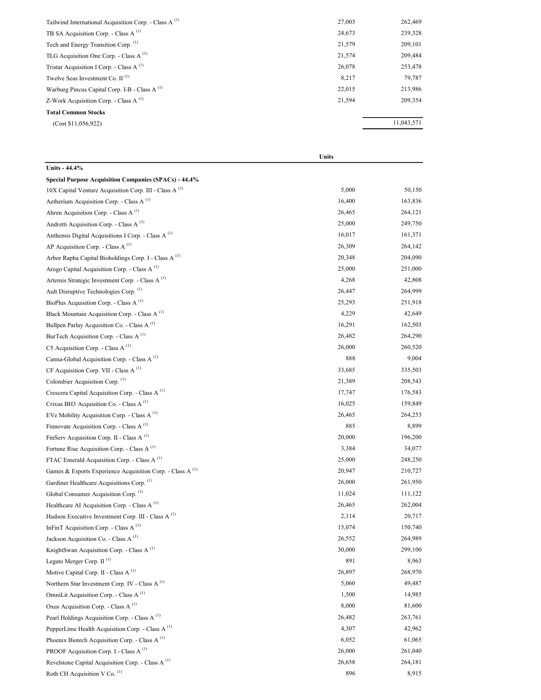| Tailwind International Acquisition Corp. - Class A <sup>(1)</sup> | 27,003 | 262,469    |
|-------------------------------------------------------------------|--------|------------|
| TB SA Acquisition Corp. - Class A $^{(1)}$                        | 24,673 | 239,328    |
| Tech and Energy Transition Corp. (1)                              | 21,579 | 209,101    |
| TLG Acquisition One Corp. - Class $A^{(1)}$                       | 21,574 | 209,484    |
| Tristar Acquisition I Corp. - Class A $^{(1)}$                    | 26,078 | 253,478    |
| Twelve Seas Investment Co. $II$ <sup>(1)</sup>                    | 8,217  | 79,787     |
| Warburg Pincus Capital Corp. I-B - Class A <sup>(1)</sup>         | 22,015 | 213,986    |
| Z-Work Acquisition Corp. - Class A $^{(1)}$                       | 21.594 | 209,354    |
| <b>Total Common Stocks</b>                                        |        |            |
| (Cost \$11,056,922)                                               |        | 11,043,571 |
|                                                                   |        |            |

|                                                                       | Units  |         |
|-----------------------------------------------------------------------|--------|---------|
| Units - 44.4%                                                         |        |         |
| <b>Special Purpose Acquisition Companies (SPACs) - 44.4%</b>          |        |         |
| 10X Capital Venture Acquisition Corp. III - Class A <sup>(1)</sup>    | 5,000  | 50,150  |
| Aetherium Acquisition Corp. - Class A <sup>(1)</sup>                  | 16,400 | 163,836 |
| Ahren Acquisition Corp. - Class A $^{(1)}$                            | 26,465 | 264,121 |
| Andretti Acquisition Corp. - Class A <sup>(1)</sup>                   | 25,000 | 249,750 |
| Anthemis Digital Acquisitions I Corp. - Class A <sup>(1)</sup>        | 16,017 | 161,371 |
| AP Acquisition Corp. - Class A $^{(1)}$                               | 26,309 | 264,142 |
| Arbor Rapha Capital Bioholdings Corp. I - Class A <sup>(1)</sup>      | 20,348 | 204,090 |
| Arogo Capital Acquisition Corp. - Class A <sup>(1)</sup>              | 25,000 | 251,000 |
| Artemis Strategic Investment Corp. - Class A <sup>(1)</sup>           | 4,268  | 42,808  |
| Ault Disruptive Technologies Corp. (1)                                | 26,447 | 264,999 |
| BioPlus Acquisition Corp. - Class A $^{(1)}$                          | 25,293 | 251,918 |
| Black Mountain Acquisition Corp. - Class A <sup>(1)</sup>             | 4,229  | 42,649  |
| Bullpen Parlay Acquisition Co. - Class A <sup>(1)</sup>               | 16,291 | 162,503 |
| BurTech Acquisition Corp. - Class A <sup>(1)</sup>                    | 26,482 | 264,290 |
| C5 Acquisition Corp. - Class A $^{(1)}$                               | 26,000 | 260,520 |
| Canna-Global Acquisition Corp. - Class A <sup>(1)</sup>               | 888    | 9,004   |
| CF Acquisition Corp. VII - Class A <sup>(1)</sup>                     | 33,685 | 335,503 |
| Colombier Acquisition Corp. <sup>(1)</sup>                            | 21,389 | 208,543 |
| Crescera Capital Acquisition Corp. - Class A <sup>(1)</sup>           | 17,747 | 176,583 |
| Crixus BH3 Acquisition Co. - Class A <sup>(1)</sup>                   | 16,025 | 159,849 |
| EVe Mobility Acquisition Corp. - Class A $(1)$                        | 26,465 | 264,253 |
| Finnovate Acquisition Corp. - Class A <sup>(1)</sup>                  | 885    | 8,899   |
| FinServ Acquisition Corp. II - Class A <sup>(1)</sup>                 | 20,000 | 196,200 |
| Fortune Rise Acquisition Corp. - Class A <sup>(1)</sup>               | 3,384  | 34,077  |
| FTAC Emerald Acquisition Corp. - Class A <sup>(1)</sup>               | 25,000 | 248,250 |
| Games & Esports Experience Acquisition Corp. - Class A <sup>(1)</sup> | 20,947 | 210,727 |
| Gardiner Healthcare Acquisitions Corp. (1)                            | 26,000 | 261,950 |
| Global Consumer Acquisition Corp. (1)                                 | 11,024 | 111,122 |
| Healthcare AI Acquisition Corp. - Class A <sup>(1)</sup>              | 26,465 | 262,004 |
| Hudson Executive Investment Corp. III - Class A <sup>(1)</sup>        | 2,114  | 20,717  |
| InFinT Acquisition Corp. - Class A <sup>(1)</sup>                     | 15,074 | 150,740 |
| Jackson Acquisition Co. - Class A <sup>(1)</sup>                      | 26,552 | 264,989 |
| KnightSwan Acquisition Corp. - Class A <sup>(1)</sup>                 | 30,000 | 299,100 |
| Legato Merger Corp. $II$ <sup>(1)</sup>                               | 891    | 8,963   |
| Motive Capital Corp. II - Class A <sup>(1)</sup>                      | 26,897 | 268,970 |
| Northern Star Investment Corp. IV - Class A <sup>(1)</sup>            | 5,060  | 49,487  |
| OmniLit Acquisition Corp. - Class A <sup>(1)</sup>                    | 1,500  | 14,985  |
| Oxus Acquisition Corp. - Class A <sup>(1)</sup>                       | 8,000  | 81,600  |
| Pearl Holdings Acquisition Corp. - Class A <sup>(1)</sup>             | 26,482 | 263,761 |
| PepperLime Health Acquisition Corp. - Class A <sup>(1)</sup>          | 4,307  | 42,962  |
| Phoenix Biotech Acquisition Corp. - Class A <sup>(1)</sup>            | 6,052  | 61,065  |
| PROOF Acquisition Corp. I - Class A <sup>(1)</sup>                    | 26,000 | 261,040 |
| Revelstone Capital Acquisition Corp. - Class A <sup>(1)</sup>         | 26,658 | 264,181 |
| Roth CH Acquisition V Co. (1)                                         | 896    | 8,915   |